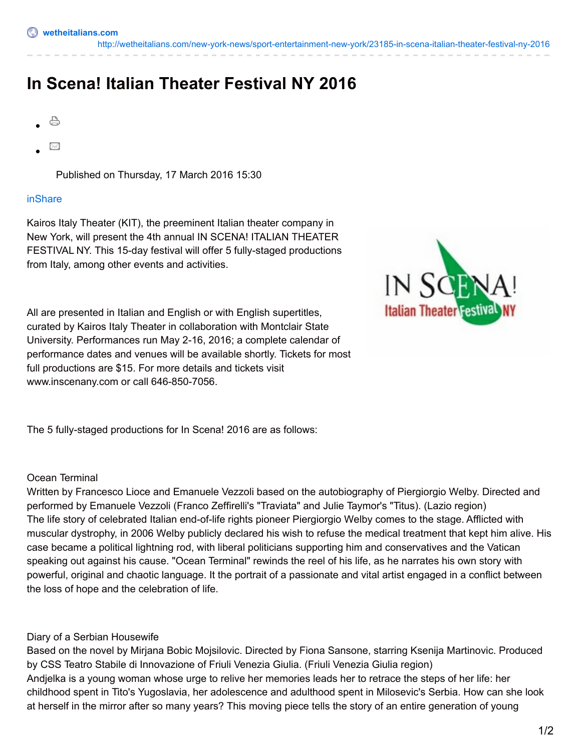<http://wetheitalians.com/new-york-news/sport-entertainment-new-york/23185-in-scena-italian-theater-festival-ny-2016>

# **In Scena! Italian Theater Festival NY 2016**

- ₿
- ⊠

Published on Thursday, 17 March 2016 15:30

#### [inShare](javascript:void(0);)

Kairos Italy Theater (KIT), the preeminent Italian theater company in New York, will present the 4th annual IN SCENA! ITALIAN THEATER FESTIVAL NY. This 15-day festival will offer 5 fully-staged productions from Italy, among other events and activities.



All are presented in Italian and English or with English supertitles, curated by Kairos Italy Theater in collaboration with Montclair State University. Performances run May 2-16, 2016; a complete calendar of performance dates and venues will be available shortly. Tickets for most full productions are \$15. For more details and tickets visit www.inscenany.com or call 646-850-7056.

The 5 fully-staged productions for In Scena! 2016 are as follows:

### Ocean Terminal

Written by Francesco Lioce and Emanuele Vezzoli based on the autobiography of Piergiorgio Welby. Directed and performed by Emanuele Vezzoli (Franco Zeffirelli's "Traviata" and Julie Taymor's "Titus). (Lazio region) The life story of celebrated Italian end-of-life rights pioneer Piergiorgio Welby comes to the stage. Afflicted with muscular dystrophy, in 2006 Welby publicly declared his wish to refuse the medical treatment that kept him alive. His case became a political lightning rod, with liberal politicians supporting him and conservatives and the Vatican speaking out against his cause. "Ocean Terminal" rewinds the reel of his life, as he narrates his own story with powerful, original and chaotic language. It the portrait of a passionate and vital artist engaged in a conflict between the loss of hope and the celebration of life.

### Diary of a Serbian Housewife

Based on the novel by Mirjana Bobic Mojsilovic. Directed by Fiona Sansone, starring Ksenija Martinovic. Produced by CSS Teatro Stabile di Innovazione of Friuli Venezia Giulia. (Friuli Venezia Giulia region) Andjelka is a young woman whose urge to relive her memories leads her to retrace the steps of her life: her childhood spent in Tito's Yugoslavia, her adolescence and adulthood spent in Milosevic's Serbia. How can she look at herself in the mirror after so many years? This moving piece tells the story of an entire generation of young